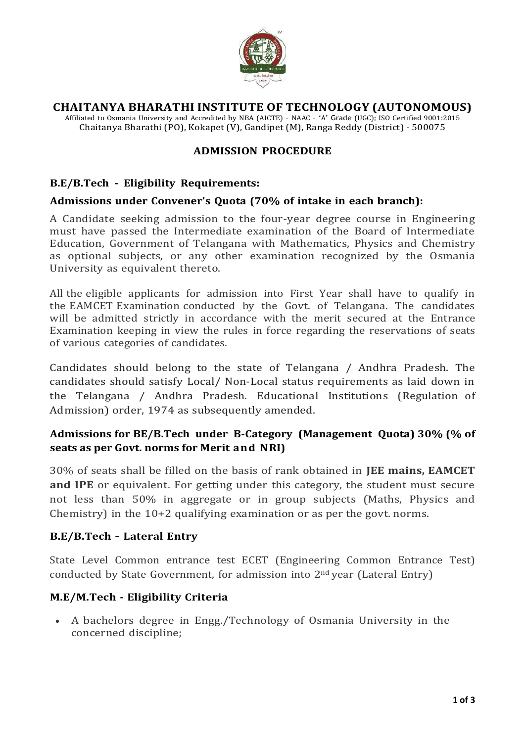

## **CHAITANYA BHARATHI INSTITUTE OF TECHNOLOGY (AUTONOMOUS)**

Affiliated to Osmania University and Accredited by NBA (AICTE) – NAAC – 'A' Grade (UGC); ISO Certified 9001:2015 Chaitanya Bharathi (PO), Kokapet (V), Gandipet (M), Ranga Reddy (District) - 500075

### **ADMISSION PROCEDURE**

### **B.E/B.Tech - Eligibility Requirements:**

#### **Admissions under Convener's Quota (70% of intake in each branch):**

A Candidate seeking admission to the four-year degree course in Engineering must have passed the Intermediate examination of the Board of Intermediate Education, Government of Telangana with Mathematics, Physics and Chemistry as optional subjects, or any other examination recognized by the Osmania University as equivalent thereto.

All the eligible applicants for admission into First Year shall have to qualify in the EAMCET Examination conducted by the Govt. of Telangana. The candidates will be admitted strictly in accordance with the merit secured at the Entrance Examination keeping in view the rules in force regarding the reservations of seats of various categories of candidates.

Candidates should belong to the state of Telangana / Andhra Pradesh. The candidates should satisfy Local/ Non-Local status requirements as laid down in the Telangana / Andhra Pradesh. Educational Institutions (Regulation of Admission) order, 1974 as subsequently amended.

## **Admissions for BE/B.Tech under B-Category (Management Quota) 30% (% of seats as per Govt. norms for Merit and NRI)**

30% of seats shall be filled on the basis of rank obtained in **JEE mains, EAMCET and IPE** or equivalent. For getting under this category, the student must secure not less than 50% in aggregate or in group subjects (Maths, Physics and Chemistry) in the 10+2 qualifying examination or as per the govt. norms.

#### **B.E/B.Tech – Lateral Entry**

State Level Common entrance test ECET (Engineering Common Entrance Test) conducted by State Government, for admission into 2nd year (Lateral Entry)

## **M.E/M.Tech - Eligibility Criteria**

 A bachelors degree in Engg./Technology of Osmania University in the concerned discipline;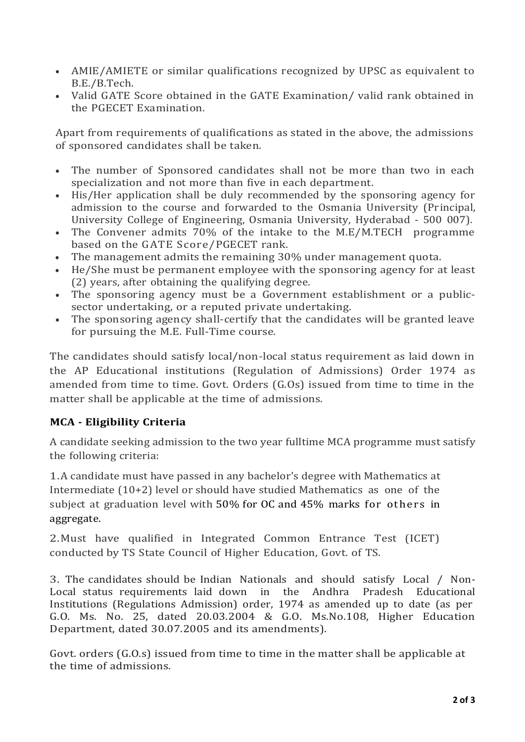- AMIE/AMIETE or similar qualifications recognized by UPSC as equivalent to B.E./B.Tech.
- Valid GATE Score obtained in the GATE Examination/ valid rank obtained in the PGECET Examination.

Apart from requirements of qualifications as stated in the above, the admissions of sponsored candidates shall be taken.

- The number of Sponsored candidates shall not be more than two in each specialization and not more than five in each department.
- His/Her application shall be duly recommended by the sponsoring agency for admission to the course and forwarded to the Osmania University (Principal, University College of Engineering, Osmania University, Hyderabad - 500 007).
- The Convener admits 70% of the intake to the M.E/M.TECH programme based on the GATE Score/PGECET rank.
- The management admits the remaining 30% under management quota.
- He/She must be permanent employee with the sponsoring agency for at least (2) years, after obtaining the qualifying degree.
- The sponsoring agency must be a Government establishment or a publicsector undertaking, or a reputed private undertaking.
- The sponsoring agency shall-certify that the candidates will be granted leave for pursuing the M.E. Full-Time course.

The candidates should satisfy local/non-local status requirement as laid down in the AP Educational institutions (Regulation of Admissions) Order 1974 as amended from time to time. Govt. Orders (G.Os) issued from time to time in the matter shall be applicable at the time of admissions.

# **MCA - Eligibility Criteria**

A candidate seeking admission to the two year fulltime MCA programme must satisfy the following criteria:

1.A candidate must have passed in any bachelor's degree with Mathematics at Intermediate (10+2) level or should have studied Mathematics as one of the subject at graduation level with 50% for OC and 45% marks for others in aggregate.

2.Must have qualified in Integrated Common Entrance Test (ICET) conducted by TS State Council of Higher Education, Govt. of TS.

3. The candidates should be Indian Nationals and should satisfy Local / Non-Local status requirements laid down in the Andhra Pradesh Educational Institutions (Regulations Admission) order, 1974 as amended up to date (as per G.O. Ms. No. 25, dated 20.03.2004 & G.O. Ms.No.108, Higher Education Department, dated 30.07.2005 and its amendments).

Govt. orders (G.O.s) issued from time to time in the matter shall be applicable at the time of admissions.